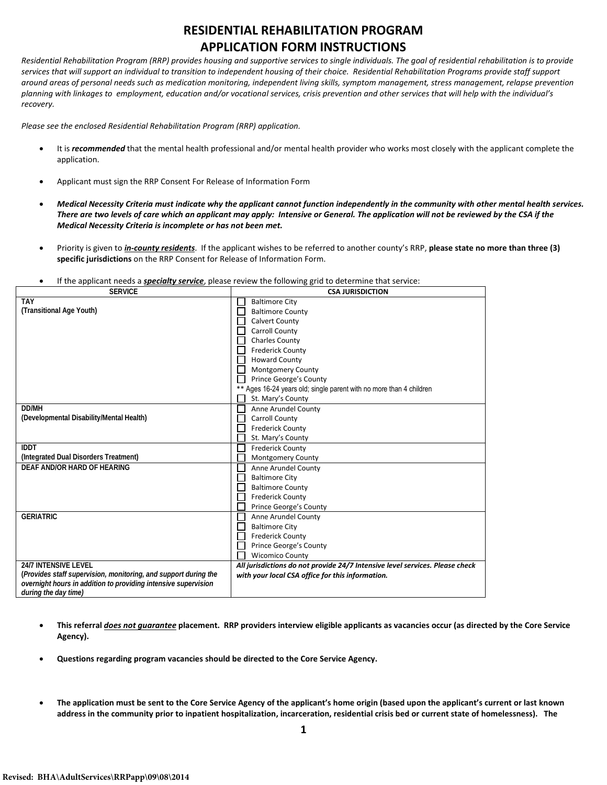## **RESIDENTIAL REHABILITATION PROGRAM APPLICATION FORM INSTRUCTIONS**

*Residential Rehabilitation Program (RRP) provides housing and supportive services to single individuals. The goal of residential rehabilitation is to provide services that will support an individual to transition to independent housing of their choice. Residential Rehabilitation Programs provide staff support around areas of personal needs such as medication monitoring, independent living skills, symptom management, stress management, relapse prevention planning with linkages to employment, education and/or vocational services, crisis prevention and other services that will help with the individual's recovery.*

*Please see the enclosed Residential Rehabilitation Program (RRP) application.* 

- It is *recommended* that the mental health professional and/or mental health provider who works most closely with the applicant complete the application.
- Applicant must sign the RRP Consent For Release of Information Form
- *Medical Necessity Criteria must indicate why the applicant cannot function independently in the community with other mental health services. There are two levels of care which an applicant may apply: Intensive or General. The application will not be reviewed by the CSA if the Medical Necessity Criteria is incomplete or has not been met.*
- Priority is given to *in-county residents*. If the applicant wishes to be referred to another county's RRP, **please state no more than three (3) specific jurisdictions** on the RRP Consent for Release of Information Form.
- If the applicant needs a *specialty service*, please review the following grid to determine that service:

| <b>SERVICE</b>                                                  | <b>CSA JURISDICTION</b>                                                      |
|-----------------------------------------------------------------|------------------------------------------------------------------------------|
| <b>TAY</b>                                                      | <b>Baltimore City</b>                                                        |
| (Transitional Age Youth)                                        | <b>Baltimore County</b>                                                      |
|                                                                 | <b>Calvert County</b>                                                        |
|                                                                 | <b>Carroll County</b>                                                        |
|                                                                 | <b>Charles County</b>                                                        |
|                                                                 | <b>Frederick County</b>                                                      |
|                                                                 | <b>Howard County</b>                                                         |
|                                                                 | Montgomery County                                                            |
|                                                                 | Prince George's County                                                       |
|                                                                 | ** Ages 16-24 years old; single parent with no more than 4 children          |
|                                                                 | St. Mary's County                                                            |
| DD/MH                                                           | Anne Arundel County                                                          |
| (Developmental Disability/Mental Health)                        | <b>Carroll County</b>                                                        |
|                                                                 | <b>Frederick County</b>                                                      |
|                                                                 | St. Mary's County                                                            |
| <b>IDDT</b>                                                     | <b>Frederick County</b>                                                      |
| (Integrated Dual Disorders Treatment)                           | <b>Montgomery County</b>                                                     |
| DEAF AND/OR HARD OF HEARING                                     | Anne Arundel County                                                          |
|                                                                 | <b>Baltimore City</b>                                                        |
|                                                                 | <b>Baltimore County</b>                                                      |
|                                                                 | <b>Frederick County</b>                                                      |
|                                                                 | Prince George's County                                                       |
| <b>GERIATRIC</b>                                                | Anne Arundel County                                                          |
|                                                                 | <b>Baltimore City</b>                                                        |
|                                                                 | <b>Frederick County</b>                                                      |
|                                                                 | Prince George's County                                                       |
|                                                                 | <b>Wicomico County</b>                                                       |
| <b>24/7 INTENSIVE LEVEL</b>                                     | All jurisdictions do not provide 24/7 Intensive level services. Please check |
| (Provides staff supervision, monitoring, and support during the | with your local CSA office for this information.                             |
| overnight hours in addition to providing intensive supervision  |                                                                              |
| during the day time)                                            |                                                                              |

- **This referral** *does not guarantee* **placement. RRP providers interview eligible applicants as vacancies occur (as directed by the Core Service Agency).**
- **Questions regarding program vacancies should be directed to the Core Service Agency.**
- **The application must be sent to the Core Service Agency of the applicant's home origin (based upon the applicant's current or last known address in the community prior to inpatient hospitalization, incarceration, residential crisis bed or current state of homelessness). The**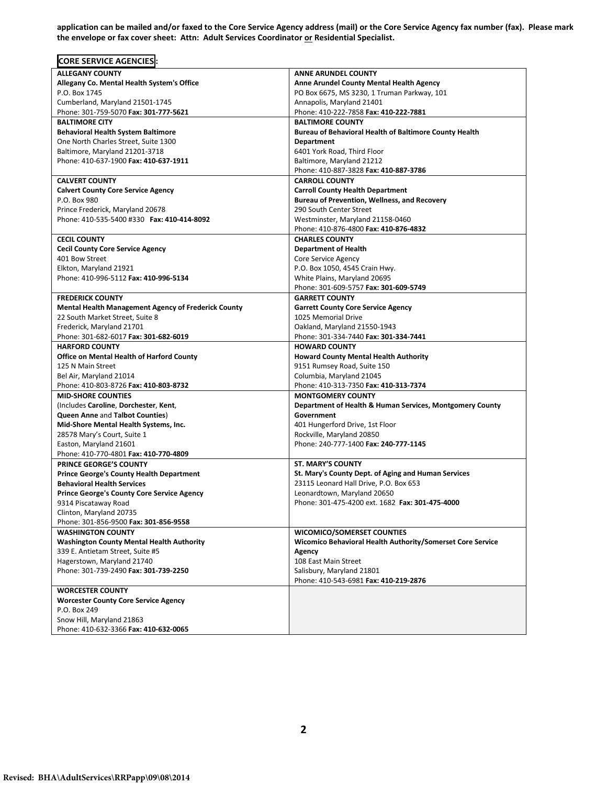**application can be mailed and/or faxed to the Core Service Agency address (mail) or the Core Service Agency fax number (fax). Please mark**  the envelope or fax cover sheet: Attn: Adult Services Coordinator or Residential Specialist.

| <b>CORE SERVICE AGENCIES:</b>                              |                                                               |
|------------------------------------------------------------|---------------------------------------------------------------|
| <b>ALLEGANY COUNTY</b>                                     | <b>ANNE ARUNDEL COUNTY</b>                                    |
| Allegany Co. Mental Health System's Office                 | <b>Anne Arundel County Mental Health Agency</b>               |
| P.O. Box 1745                                              | PO Box 6675, MS 3230, 1 Truman Parkway, 101                   |
| Cumberland, Maryland 21501-1745                            | Annapolis, Maryland 21401                                     |
| Phone: 301-759-5070 Fax: 301-777-5621                      | Phone: 410-222-7858 Fax: 410-222-7881                         |
| <b>BALTIMORE CITY</b>                                      | <b>BALTIMORE COUNTY</b>                                       |
| <b>Behavioral Health System Baltimore</b>                  | <b>Bureau of Behavioral Health of Baltimore County Health</b> |
| One North Charles Street, Suite 1300                       | Department                                                    |
| Baltimore, Maryland 21201-3718                             | 6401 York Road, Third Floor                                   |
| Phone: 410-637-1900 Fax: 410-637-1911                      | Baltimore, Maryland 21212                                     |
|                                                            | Phone: 410-887-3828 Fax: 410-887-3786                         |
| <b>CALVERT COUNTY</b>                                      | <b>CARROLL COUNTY</b>                                         |
| <b>Calvert County Core Service Agency</b>                  | <b>Carroll County Health Department</b>                       |
| P.O. Box 980                                               | <b>Bureau of Prevention, Wellness, and Recovery</b>           |
| Prince Frederick, Maryland 20678                           | 290 South Center Street                                       |
| Phone: 410-535-5400 #330 Fax: 410-414-8092                 | Westminster, Maryland 21158-0460                              |
|                                                            | Phone: 410-876-4800 Fax: 410-876-4832                         |
| <b>CECIL COUNTY</b>                                        | <b>CHARLES COUNTY</b>                                         |
| <b>Cecil County Core Service Agency</b>                    | <b>Department of Health</b>                                   |
| 401 Bow Street                                             | Core Service Agency                                           |
| Elkton, Maryland 21921                                     | P.O. Box 1050, 4545 Crain Hwy.                                |
| Phone: 410-996-5112 Fax: 410-996-5134                      | White Plains, Maryland 20695                                  |
|                                                            | Phone: 301-609-5757 Fax: 301-609-5749                         |
| <b>FREDERICK COUNTY</b>                                    | <b>GARRETT COUNTY</b>                                         |
| <b>Mental Health Management Agency of Frederick County</b> | <b>Garrett County Core Service Agency</b>                     |
| 22 South Market Street, Suite 8                            | 1025 Memorial Drive                                           |
| Frederick, Maryland 21701                                  | Oakland, Maryland 21550-1943                                  |
| Phone: 301-682-6017 Fax: 301-682-6019                      | Phone: 301-334-7440 Fax: 301-334-7441                         |
| <b>HARFORD COUNTY</b>                                      | <b>HOWARD COUNTY</b>                                          |
| <b>Office on Mental Health of Harford County</b>           | <b>Howard County Mental Health Authority</b>                  |
| 125 N Main Street                                          | 9151 Rumsey Road, Suite 150                                   |
| Bel Air, Maryland 21014                                    | Columbia, Maryland 21045                                      |
| Phone: 410-803-8726 Fax: 410-803-8732                      | Phone: 410-313-7350 Fax: 410-313-7374                         |
| <b>MID-SHORE COUNTIES</b>                                  | <b>MONTGOMERY COUNTY</b>                                      |
| (Includes Caroline, Dorchester, Kent,                      | Department of Health & Human Services, Montgomery County      |
| <b>Queen Anne and Talbot Counties)</b>                     | Government                                                    |
| Mid-Shore Mental Health Systems, Inc.                      | 401 Hungerford Drive, 1st Floor                               |
| 28578 Mary's Court, Suite 1                                | Rockville, Maryland 20850                                     |
| Easton, Maryland 21601                                     | Phone: 240-777-1400 Fax: 240-777-1145                         |
| Phone: 410-770-4801 Fax: 410-770-4809                      |                                                               |
| PRINCE GEORGE'S COUNTY                                     | <b>ST. MARY'S COUNTY</b>                                      |
| <b>Prince George's County Health Department</b>            | St. Mary's County Dept. of Aging and Human Services           |
| <b>Behavioral Health Services</b>                          | 23115 Leonard Hall Drive, P.O. Box 653                        |
| <b>Prince George's County Core Service Agency</b>          | Leonardtown, Maryland 20650                                   |
| 9314 Piscataway Road                                       | Phone: 301-475-4200 ext. 1682 Fax: 301-475-4000               |
| Clinton, Maryland 20735                                    |                                                               |
| Phone: 301-856-9500 Fax: 301-856-9558                      |                                                               |
| <b>WASHINGTON COUNTY</b>                                   | <b>WICOMICO/SOMERSET COUNTIES</b>                             |
| <b>Washington County Mental Health Authority</b>           | Wicomico Behavioral Health Authority/Somerset Core Service    |
| 339 E. Antietam Street, Suite #5                           | Agency                                                        |
| Hagerstown, Maryland 21740                                 | 108 East Main Street                                          |
| Phone: 301-739-2490 Fax: 301-739-2250                      | Salisbury, Maryland 21801                                     |
|                                                            | Phone: 410-543-6981 Fax: 410-219-2876                         |
| <b>WORCESTER COUNTY</b>                                    |                                                               |
| <b>Worcester County Core Service Agency</b>                |                                                               |
| P.O. Box 249                                               |                                                               |
| Snow Hill, Maryland 21863                                  |                                                               |
| Phone: 410-632-3366 Fax: 410-632-0065                      |                                                               |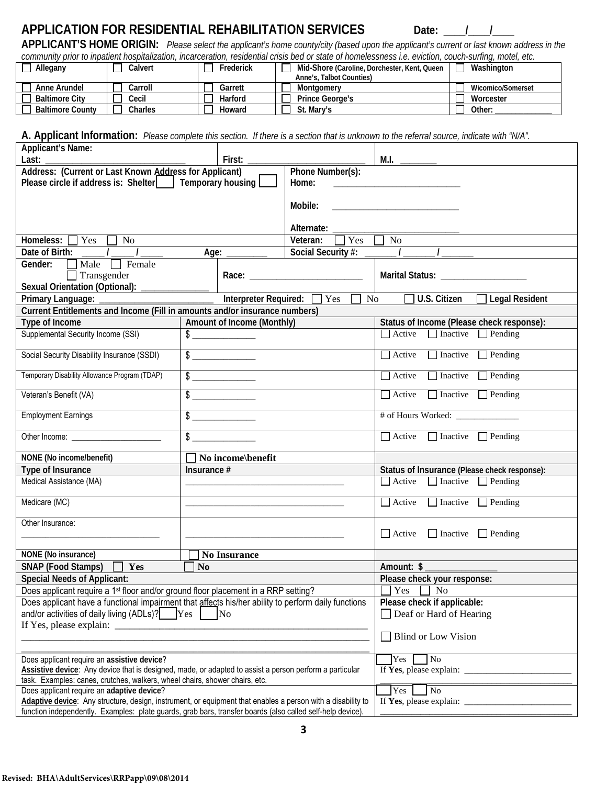# **APPLICATION FOR RESIDENTIAL REHABILITATION SERVICES** Date: 1

**APPLICANT'S HOME ORIGIN:** *Please select the applicant's home county/city (based upon the applicant's current or last known address in the community prior to inpatient hospitalization, incarceration, residential crisis bed or state of homelessness i.e. eviction, couch-surfing, motel, etc.*

| <u>oommuuri phorto mpanom noophalleanom moarooranom roolaomiar oholo boa or olalo or momolooomoo hor ovidilom oammammammam</u> |         |           |                                              |                   |  |
|--------------------------------------------------------------------------------------------------------------------------------|---------|-----------|----------------------------------------------|-------------------|--|
| Allegany                                                                                                                       | Calvert | Frederick | Mid-Shore (Caroline, Dorchester, Kent, Queen | Washington        |  |
|                                                                                                                                |         |           | Anne's, Talbot Counties)                     |                   |  |
| Anne Arundel                                                                                                                   | Carroll | Garrett   | Montaomery                                   | Wicomico/Somerset |  |
| <b>Baltimore City</b>                                                                                                          | Cecil   | Harford   | <b>Prince George's</b>                       | Worcester         |  |
| <b>Baltimore County</b>                                                                                                        | Charles | Howard    | St. Mary's                                   | Other:            |  |

**A. Applicant Information:** *Please complete this section. If there is a section that is unknown to the referral source, indicate with "N/A".*

| <b>Applicant's Name:</b>                                                                                                                                                                  |                            |                             |                                                                                                                                                                                                                                                                                                   |
|-------------------------------------------------------------------------------------------------------------------------------------------------------------------------------------------|----------------------------|-----------------------------|---------------------------------------------------------------------------------------------------------------------------------------------------------------------------------------------------------------------------------------------------------------------------------------------------|
| Last:                                                                                                                                                                                     | First:                     |                             | M.I.                                                                                                                                                                                                                                                                                              |
| Address: (Current or Last Known Address for Applicant)                                                                                                                                    | Phone Number(s):           |                             |                                                                                                                                                                                                                                                                                                   |
| Please circle if address is: Shelter     Temporary housing                                                                                                                                | Home:                      |                             |                                                                                                                                                                                                                                                                                                   |
|                                                                                                                                                                                           |                            |                             |                                                                                                                                                                                                                                                                                                   |
|                                                                                                                                                                                           |                            | Mobile:                     | <u> 1980 - Jan Barbara, manazarta da </u>                                                                                                                                                                                                                                                         |
|                                                                                                                                                                                           |                            | Alternate:                  |                                                                                                                                                                                                                                                                                                   |
| Homeless: [<br>$\Box$ Yes<br>No                                                                                                                                                           |                            | Veteran:<br>Yes             | $\overline{No}$                                                                                                                                                                                                                                                                                   |
| Date of Birth: $\frac{1}{2}$ / $\frac{1}{2}$                                                                                                                                              | Age: $\_\_$                | Social Security #:          |                                                                                                                                                                                                                                                                                                   |
| Female<br>$\Box$ Male $\Box$<br>Gender:                                                                                                                                                   |                            |                             |                                                                                                                                                                                                                                                                                                   |
| $\Box$ Transgender                                                                                                                                                                        |                            |                             | Marital Status: ____________________                                                                                                                                                                                                                                                              |
| Sexual Orientation (Optional): _                                                                                                                                                          |                            |                             |                                                                                                                                                                                                                                                                                                   |
| Primary Language:                                                                                                                                                                         | Interpreter Required:      | $\overline{\mathbf{y}}$ Yes | $\Box$ U.S. Citizen<br>No No<br><b>Legal Resident</b>                                                                                                                                                                                                                                             |
| Current Entitlements and Income (Fill in amounts and/or insurance numbers)                                                                                                                |                            |                             |                                                                                                                                                                                                                                                                                                   |
| Type of Income                                                                                                                                                                            | Amount of Income (Monthly) |                             | Status of Income (Please check response):                                                                                                                                                                                                                                                         |
| Supplemental Security Income (SSI)                                                                                                                                                        |                            |                             | $\Box$ Active $\Box$ Inactive $\Box$ Pending                                                                                                                                                                                                                                                      |
|                                                                                                                                                                                           | $\overline{\$}$            |                             |                                                                                                                                                                                                                                                                                                   |
| Social Security Disability Insurance (SSDI)                                                                                                                                               | $\frac{1}{2}$              |                             | $\Box$ Inactive $\Box$ Pending<br>$\Box$ Active                                                                                                                                                                                                                                                   |
| Temporary Disability Allowance Program (TDAP)                                                                                                                                             | $\frac{1}{2}$              |                             | $\Box$ Inactive $\Box$ Pending<br>$\Box$ Active                                                                                                                                                                                                                                                   |
| Veteran's Benefit (VA)                                                                                                                                                                    | $\frac{1}{2}$              |                             | $\Box$ Inactive $\Box$ Pending<br>$\Box$ Active                                                                                                                                                                                                                                                   |
| <b>Employment Earnings</b>                                                                                                                                                                |                            |                             | # of Hours Worked:                                                                                                                                                                                                                                                                                |
|                                                                                                                                                                                           | $\overline{\$}$            |                             | $\Box$ Active $\Box$ Inactive $\Box$ Pending                                                                                                                                                                                                                                                      |
| NONE (No income/benefit)                                                                                                                                                                  | $\Box$ No income benefit   |                             |                                                                                                                                                                                                                                                                                                   |
| Type of Insurance                                                                                                                                                                         | Insurance $#$              |                             | Status of Insurance (Please check response):                                                                                                                                                                                                                                                      |
| Medical Assistance (MA)                                                                                                                                                                   |                            |                             | $\Box$ Active $\Box$ Inactive $\Box$ Pending                                                                                                                                                                                                                                                      |
|                                                                                                                                                                                           |                            |                             |                                                                                                                                                                                                                                                                                                   |
| Medicare (MC)                                                                                                                                                                             |                            |                             | $\Box$ Inactive $\Box$ Pending<br>$\Box$ Active                                                                                                                                                                                                                                                   |
| Other Insurance:                                                                                                                                                                          |                            |                             |                                                                                                                                                                                                                                                                                                   |
|                                                                                                                                                                                           |                            |                             | $\Box$ Active $\Box$ Inactive $\Box$ Pending                                                                                                                                                                                                                                                      |
| NONE (No insurance)                                                                                                                                                                       | No Insurance               |                             |                                                                                                                                                                                                                                                                                                   |
| SNAP (Food Stamps) T Yes                                                                                                                                                                  | No                         |                             | Amount: \$                                                                                                                                                                                                                                                                                        |
| <b>Special Needs of Applicant:</b>                                                                                                                                                        |                            |                             | Please check your response:                                                                                                                                                                                                                                                                       |
|                                                                                                                                                                                           |                            |                             | $\sqrt{Y}$ es $\sqrt{N_0}$                                                                                                                                                                                                                                                                        |
| Does applicant require a 1st floor and/or ground floor placement in a RRP setting?<br>Does applicant have a functional impairment that affects his/her ability to perform daily functions |                            |                             |                                                                                                                                                                                                                                                                                                   |
| and/or activities of daily living (ADLs)? Yes   No                                                                                                                                        |                            |                             | Please check if applicable:<br>Deaf or Hard of Hearing                                                                                                                                                                                                                                            |
|                                                                                                                                                                                           |                            |                             |                                                                                                                                                                                                                                                                                                   |
|                                                                                                                                                                                           |                            |                             | Blind or Low Vision                                                                                                                                                                                                                                                                               |
|                                                                                                                                                                                           |                            |                             |                                                                                                                                                                                                                                                                                                   |
| Does applicant require an assistive device?                                                                                                                                               |                            |                             | $\overline{Y}$ es $\overline{N}$ No                                                                                                                                                                                                                                                               |
| Assistive device: Any device that is designed, made, or adapted to assist a person perform a particular                                                                                   |                            |                             | If Yes, please explain: $\frac{1}{2}$                                                                                                                                                                                                                                                             |
| task. Examples: canes, crutches, walkers, wheel chairs, shower chairs, etc.                                                                                                               |                            |                             |                                                                                                                                                                                                                                                                                                   |
| Does applicant require an adaptive device?<br>Adaptive device: Any structure, design, instrument, or equipment that enables a person with a disability to                                 |                            |                             | Yes<br>N <sub>0</sub>                                                                                                                                                                                                                                                                             |
|                                                                                                                                                                                           |                            |                             | If Yes, please explain: $\frac{1}{2}$ = $\frac{1}{2}$ = $\frac{1}{2}$ = $\frac{1}{2}$ = $\frac{1}{2}$ = $\frac{1}{2}$ = $\frac{1}{2}$ = $\frac{1}{2}$ = $\frac{1}{2}$ = $\frac{1}{2}$ = $\frac{1}{2}$ = $\frac{1}{2}$ = $\frac{1}{2}$ = $\frac{1}{2}$ = $\frac{1}{2}$ = $\frac{1}{2}$ = $\frac{1$ |
| function independently. Examples: plate guards, grab bars, transfer boards (also called self-help device).                                                                                |                            |                             |                                                                                                                                                                                                                                                                                                   |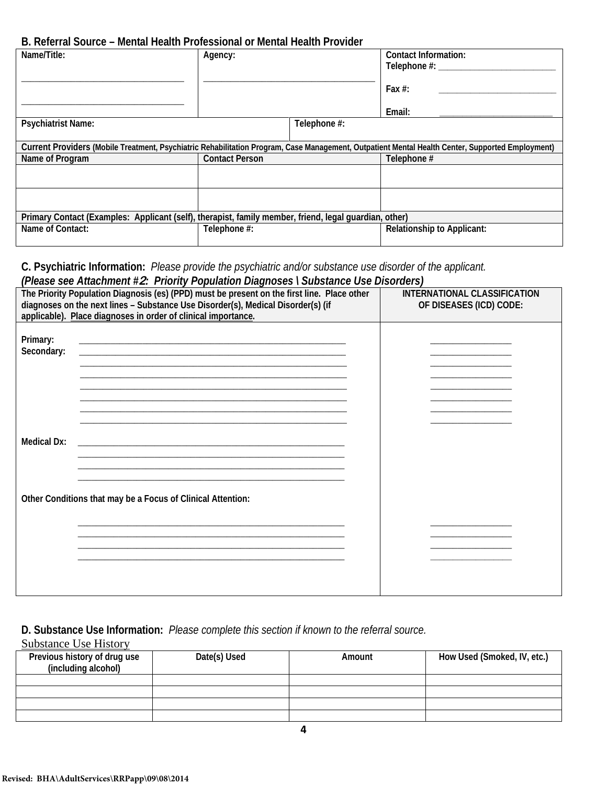#### **B. Referral Source – Mental Health Professional or Mental Health Provider**

| D. INSINITY SUMMON – MUTHAL HUGHITT FURSSIOHAL OF MUTHAL HUGHITT FUVINGI                              |                       |                                                                                                                                                  |
|-------------------------------------------------------------------------------------------------------|-----------------------|--------------------------------------------------------------------------------------------------------------------------------------------------|
| Name/Title:                                                                                           | Agency:               | <b>Contact Information:</b><br>Telephone #: ____                                                                                                 |
|                                                                                                       |                       | Fax $#$ :                                                                                                                                        |
|                                                                                                       |                       | Email:                                                                                                                                           |
| <b>Psychiatrist Name:</b>                                                                             | Telephone #:          |                                                                                                                                                  |
|                                                                                                       |                       | Current Providers (Mobile Treatment, Psychiatric Rehabilitation Program, Case Management, Outpatient Mental Health Center, Supported Employment) |
| Name of Program                                                                                       | <b>Contact Person</b> | Telephone #                                                                                                                                      |
|                                                                                                       |                       |                                                                                                                                                  |
|                                                                                                       |                       |                                                                                                                                                  |
| Primary Contact (Examples: Applicant (self), therapist, family member, friend, legal quardian, other) |                       |                                                                                                                                                  |
| Name of Contact:                                                                                      | Telephone #:          | <b>Relationship to Applicant:</b>                                                                                                                |

#### **C. Psychiatric Information:** *Please provide the psychiatric and/or substance use disorder of the applicant. (Please see Attachment #***2***: Priority Population Diagnoses \ Substance Use Disorders)*

|                                                                                                                                    | $\mu$ icase see Allachment $\pi$ <b>2.</b> Thomy Equidition Diagnoses Toubstance ose Disorders) |  |  |  |  |  |
|------------------------------------------------------------------------------------------------------------------------------------|-------------------------------------------------------------------------------------------------|--|--|--|--|--|
| The Priority Population Diagnosis (es) (PPD) must be present on the first line. Place other                                        | INTERNATIONAL CLASSIFICATION                                                                    |  |  |  |  |  |
| diagnoses on the next lines - Substance Use Disorder(s), Medical Disorder(s) (if                                                   | OF DISEASES (ICD) CODE:                                                                         |  |  |  |  |  |
|                                                                                                                                    |                                                                                                 |  |  |  |  |  |
| applicable). Place diagnoses in order of clinical importance.                                                                      |                                                                                                 |  |  |  |  |  |
|                                                                                                                                    |                                                                                                 |  |  |  |  |  |
|                                                                                                                                    |                                                                                                 |  |  |  |  |  |
| Primary:                                                                                                                           |                                                                                                 |  |  |  |  |  |
| Secondary:<br><u> 1989 - Johann John Stone, markin film ar yn y brenin y brenin y brenin y brenin y brenin y brenin y brenin y</u> |                                                                                                 |  |  |  |  |  |
|                                                                                                                                    |                                                                                                 |  |  |  |  |  |
|                                                                                                                                    |                                                                                                 |  |  |  |  |  |
|                                                                                                                                    |                                                                                                 |  |  |  |  |  |
|                                                                                                                                    |                                                                                                 |  |  |  |  |  |
|                                                                                                                                    |                                                                                                 |  |  |  |  |  |
|                                                                                                                                    |                                                                                                 |  |  |  |  |  |
|                                                                                                                                    |                                                                                                 |  |  |  |  |  |
|                                                                                                                                    |                                                                                                 |  |  |  |  |  |
|                                                                                                                                    |                                                                                                 |  |  |  |  |  |
| <b>Medical Dx:</b>                                                                                                                 |                                                                                                 |  |  |  |  |  |
|                                                                                                                                    |                                                                                                 |  |  |  |  |  |
|                                                                                                                                    |                                                                                                 |  |  |  |  |  |
|                                                                                                                                    |                                                                                                 |  |  |  |  |  |
|                                                                                                                                    |                                                                                                 |  |  |  |  |  |
|                                                                                                                                    |                                                                                                 |  |  |  |  |  |
|                                                                                                                                    |                                                                                                 |  |  |  |  |  |
| Other Conditions that may be a Focus of Clinical Attention:                                                                        |                                                                                                 |  |  |  |  |  |
|                                                                                                                                    |                                                                                                 |  |  |  |  |  |
|                                                                                                                                    |                                                                                                 |  |  |  |  |  |
|                                                                                                                                    |                                                                                                 |  |  |  |  |  |
|                                                                                                                                    |                                                                                                 |  |  |  |  |  |
|                                                                                                                                    |                                                                                                 |  |  |  |  |  |
|                                                                                                                                    |                                                                                                 |  |  |  |  |  |
|                                                                                                                                    |                                                                                                 |  |  |  |  |  |
|                                                                                                                                    |                                                                                                 |  |  |  |  |  |
|                                                                                                                                    |                                                                                                 |  |  |  |  |  |
|                                                                                                                                    |                                                                                                 |  |  |  |  |  |
|                                                                                                                                    |                                                                                                 |  |  |  |  |  |

### **D. Substance Use Information:** *Please complete this section if known to the referral source.*

Substance Use History

| Previous history of drug use<br>(including alcohol) | Date(s) Used | Amount | How Used (Smoked, IV, etc.) |
|-----------------------------------------------------|--------------|--------|-----------------------------|
|                                                     |              |        |                             |
|                                                     |              |        |                             |
|                                                     |              |        |                             |
|                                                     |              |        |                             |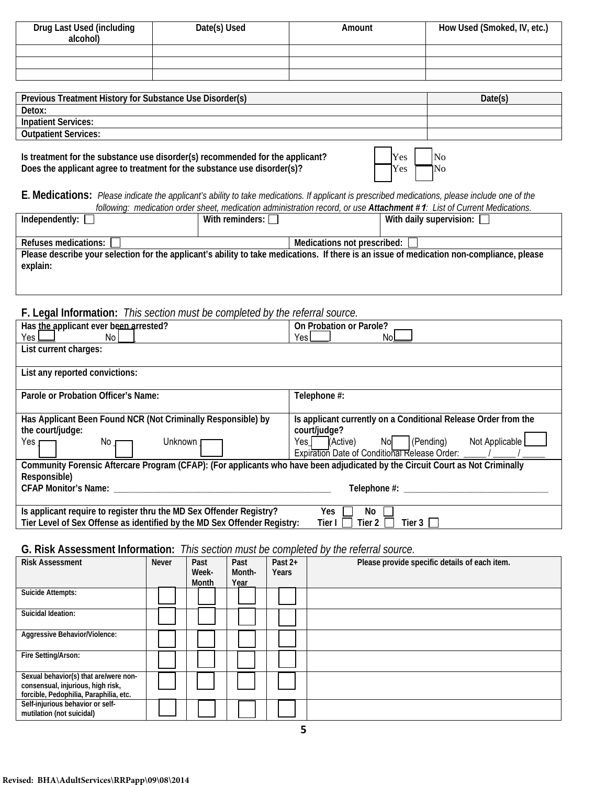| Drug Last Used (including<br>alcohol) | Date(s) Used | Amount | How Used (Smoked, IV, etc.) |
|---------------------------------------|--------------|--------|-----------------------------|
|                                       |              |        |                             |
|                                       |              |        |                             |
|                                       |              |        |                             |

| Previous Treatment History for Substance Use Disorder(s) | Date(s |
|----------------------------------------------------------|--------|
| Detox:                                                   |        |
| <b>Inpatient Services:</b>                               |        |
| <b>Outpatient Services:</b>                              |        |
|                                                          |        |

Is treatment for the substance use disorder(s) recommended for the applicant?<br>Does the applicant agree to treatment for the substance use disorder(s)? Does the applicant agree to treatment for the substance use disorder(s)?

**E. Medications:** *Please indicate the applicant's ability to take medications. If applicant is prescribed medications, please include one of the following: medication order sheet, medication administration record, or use Attachment #***1***: List of Current Medications.* 

| Independently: $\Box$                                                                                                                     | With reminders: $\Box$ |                               | With daily supervision: $\Box$ |
|-------------------------------------------------------------------------------------------------------------------------------------------|------------------------|-------------------------------|--------------------------------|
|                                                                                                                                           |                        |                               |                                |
|                                                                                                                                           |                        |                               |                                |
|                                                                                                                                           |                        |                               |                                |
| Refuses medications: [                                                                                                                    |                        |                               |                                |
|                                                                                                                                           |                        | Medications not prescribed: [ |                                |
| Please describe your selection for the applicant's ability to take medications. If there is an issue of medication non-compliance, please |                        |                               |                                |
|                                                                                                                                           |                        |                               |                                |
| explain:                                                                                                                                  |                        |                               |                                |
|                                                                                                                                           |                        |                               |                                |
|                                                                                                                                           |                        |                               |                                |
|                                                                                                                                           |                        |                               |                                |

**F. Legal Information:** *This section must be completed by the referral source.*

| Has the applicant ever been arrested?                                                                                         | On Probation or Parole?                                        |
|-------------------------------------------------------------------------------------------------------------------------------|----------------------------------------------------------------|
| Yes L<br>No l                                                                                                                 | YesL                                                           |
| List current charges:                                                                                                         |                                                                |
|                                                                                                                               |                                                                |
| List any reported convictions:                                                                                                |                                                                |
|                                                                                                                               |                                                                |
| Parole or Probation Officer's Name:                                                                                           | Telephone #:                                                   |
|                                                                                                                               |                                                                |
| Has Applicant Been Found NCR (Not Criminally Responsible) by                                                                  | Is applicant currently on a Conditional Release Order from the |
| the court/judge:                                                                                                              | court/judge?                                                   |
| Unknown<br>Yes <sub>J</sub><br>No                                                                                             | Not Applicable<br>(Pending)<br>(Active)<br>No<br>Yes I         |
|                                                                                                                               | Expiration Date of Conditional Release Order: / / /            |
| Community Forensic Aftercare Program (CFAP): (For applicants who have been adjudicated by the Circuit Court as Not Criminally |                                                                |
| Responsible)                                                                                                                  |                                                                |
| <b>CFAP Monitor's Name:</b>                                                                                                   | Telephone #:                                                   |
|                                                                                                                               |                                                                |
| Is applicant require to register thru the MD Sex Offender Registry?                                                           | Yes<br>No                                                      |
| Tier Level of Sex Offense as identified by the MD Sex Offender Registry:                                                      | Tier $2 \mid$<br>Tier $3 \mid \cdot \mid$<br>Tier I            |

# **G. Risk Assessment Information:** *This section must be completed by the referral source.*

| <b>Risk Assessment</b>                                                                                               | <b>Never</b> | Past<br>Week-<br>Month | Past<br>Month-<br>Year | Past $2+$<br><b>Years</b> | Please provide specific details of each item. |
|----------------------------------------------------------------------------------------------------------------------|--------------|------------------------|------------------------|---------------------------|-----------------------------------------------|
| Suicide Attempts:                                                                                                    |              |                        |                        |                           |                                               |
| Suicidal Ideation:                                                                                                   |              |                        |                        |                           |                                               |
| Aggressive Behavior/Violence:                                                                                        |              |                        |                        |                           |                                               |
| Fire Setting/Arson:                                                                                                  |              |                        |                        |                           |                                               |
| Sexual behavior(s) that are/were non-<br>consensual, injurious, high risk,<br>forcible, Pedophilia, Paraphilia, etc. |              |                        |                        |                           |                                               |
| Self-injurious behavior or self-<br>mutilation (not suicidal)                                                        |              |                        |                        |                           |                                               |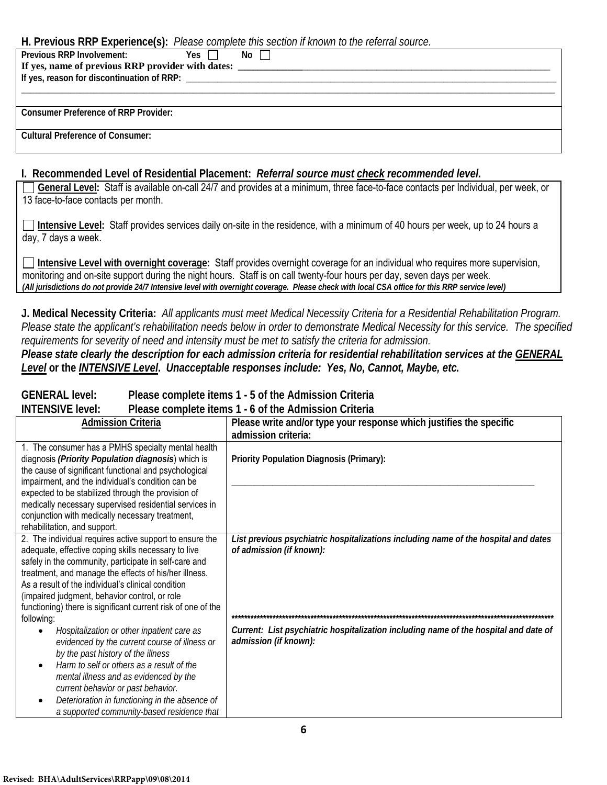#### **H. Previous RRP Experience(s):** *Please complete this section if known to the referral source.*

| $\mathbf{r}$ . The state of $\mathbf{r}$ is the state of $\mathbf{r}$ |      |
|-----------------------------------------------------------------------|------|
| Previous RRP Involvement:<br>Yes I                                    | No l |
|                                                                       |      |
|                                                                       |      |
|                                                                       |      |
|                                                                       |      |
| <b>Consumer Preference of RRP Provider:</b>                           |      |
|                                                                       |      |
| <b>Cultural Preference of Consumer:</b>                               |      |
|                                                                       |      |
|                                                                       |      |

#### **I. Recommended Level of Residential Placement:** *Referral source must check recommended level.*

**General Level:** Staff is available on-call 24/7 and provides at a minimum, three face-to-face contacts per Individual, per week, or 13 face-to-face contacts per month.

**Intensive Level:** Staff provides services daily on-site in the residence, with a minimum of 40 hours per week, up to 24 hours a day, 7 days a week.

**Intensive Level with overnight coverage:** Staff provides overnight coverage for an individual who requires more supervision, monitoring and on-site support during the night hours. Staff is on call twenty-four hours per day, seven days per week. *(All jurisdictions do not provide 24/7 Intensive level with overnight coverage. Please check with local CSA office for this RRP service level)*

**J. Medical Necessity Criteria:** *All applicants must meet Medical Necessity Criteria for a Residential Rehabilitation Program. Please state the applicant's rehabilitation needs below in order to demonstrate Medical Necessity for this service. The specified requirements for severity of need and intensity must be met to satisfy the criteria for admission.* 

*Please state clearly the description for each admission criteria for residential rehabilitation services at the GENERAL Level* **or the** *INTENSIVE Level***.** *Unacceptable responses include: Yes, No, Cannot, Maybe, etc.*

#### **GENERAL level: Please complete items 1 - 5 of the Admission Criteria**

**INTENSIVE level: Please complete items 1 - 6 of the Admission Criteria**

| <b>Admission Criteria</b>                                                                                                                                                                                                                                                                                                                                                                                           | Please write and/or type your response which justifies the specific                                             |
|---------------------------------------------------------------------------------------------------------------------------------------------------------------------------------------------------------------------------------------------------------------------------------------------------------------------------------------------------------------------------------------------------------------------|-----------------------------------------------------------------------------------------------------------------|
|                                                                                                                                                                                                                                                                                                                                                                                                                     | admission criteria:                                                                                             |
| 1. The consumer has a PMHS specialty mental health<br>diagnosis (Priority Population diagnosis) which is<br>the cause of significant functional and psychological<br>impairment, and the individual's condition can be<br>expected to be stabilized through the provision of<br>medically necessary supervised residential services in                                                                              | Priority Population Diagnosis (Primary):                                                                        |
| conjunction with medically necessary treatment,<br>rehabilitation, and support.                                                                                                                                                                                                                                                                                                                                     |                                                                                                                 |
| 2. The individual requires active support to ensure the<br>adequate, effective coping skills necessary to live<br>safely in the community, participate in self-care and<br>treatment, and manage the effects of his/her illness.<br>As a result of the individual's clinical condition<br>(impaired judgment, behavior control, or role<br>functioning) there is significant current risk of one of the             | List previous psychiatric hospitalizations including name of the hospital and dates<br>of admission (if known): |
| following:<br>Hospitalization or other inpatient care as<br>$\bullet$<br>evidenced by the current course of illness or<br>by the past history of the illness<br>Harm to self or others as a result of the<br>$\bullet$<br>mental illness and as evidenced by the<br>current behavior or past behavior.<br>Deterioration in functioning in the absence of<br>$\bullet$<br>a supported community-based residence that | Current: List psychiatric hospitalization including name of the hospital and date of<br>admission (if known):   |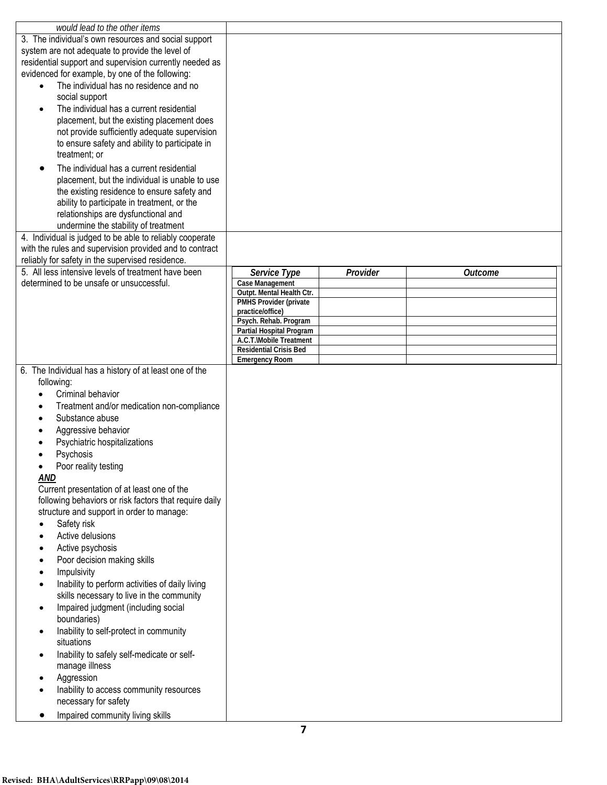| would lead to the other items                                               |                                           |          |                |
|-----------------------------------------------------------------------------|-------------------------------------------|----------|----------------|
| 3. The individual's own resources and social support                        |                                           |          |                |
| system are not adequate to provide the level of                             |                                           |          |                |
| residential support and supervision currently needed as                     |                                           |          |                |
| evidenced for example, by one of the following:                             |                                           |          |                |
| The individual has no residence and no<br>$\bullet$                         |                                           |          |                |
| social support                                                              |                                           |          |                |
| The individual has a current residential<br>$\bullet$                       |                                           |          |                |
| placement, but the existing placement does                                  |                                           |          |                |
| not provide sufficiently adequate supervision                               |                                           |          |                |
| to ensure safety and ability to participate in                              |                                           |          |                |
|                                                                             |                                           |          |                |
| treatment; or                                                               |                                           |          |                |
| The individual has a current residential<br>$\bullet$                       |                                           |          |                |
| placement, but the individual is unable to use                              |                                           |          |                |
| the existing residence to ensure safety and                                 |                                           |          |                |
| ability to participate in treatment, or the                                 |                                           |          |                |
| relationships are dysfunctional and                                         |                                           |          |                |
| undermine the stability of treatment                                        |                                           |          |                |
| 4. Individual is judged to be able to reliably cooperate                    |                                           |          |                |
| with the rules and supervision provided and to contract                     |                                           |          |                |
| reliably for safety in the supervised residence.                            |                                           |          |                |
| 5. All less intensive levels of treatment have been                         | Service Type                              | Provider | <b>Outcome</b> |
| determined to be unsafe or unsuccessful.                                    | Case Management                           |          |                |
|                                                                             | Outpt. Mental Health Ctr.                 |          |                |
|                                                                             | PMHS Provider (private                    |          |                |
|                                                                             | practice/office)<br>Psych. Rehab. Program |          |                |
|                                                                             | Partial Hospital Program                  |          |                |
|                                                                             | A.C.T.\Mobile Treatment                   |          |                |
|                                                                             | <b>Residential Crisis Bed</b>             |          |                |
|                                                                             | <b>Emergency Room</b>                     |          |                |
| 6. The Individual has a history of at least one of the                      |                                           |          |                |
| following:                                                                  |                                           |          |                |
| Criminal behavior                                                           |                                           |          |                |
| Treatment and/or medication non-compliance<br>$\bullet$                     |                                           |          |                |
| Substance abuse                                                             |                                           |          |                |
| Aggressive behavior                                                         |                                           |          |                |
| Psychiatric hospitalizations                                                |                                           |          |                |
| Psychosis                                                                   |                                           |          |                |
| Poor reality testing                                                        |                                           |          |                |
| AND                                                                         |                                           |          |                |
| Current presentation of at least one of the                                 |                                           |          |                |
| following behaviors or risk factors that require daily                      |                                           |          |                |
| structure and support in order to manage:                                   |                                           |          |                |
| Safety risk<br>$\bullet$                                                    |                                           |          |                |
| Active delusions<br>$\bullet$                                               |                                           |          |                |
| Active psychosis<br>$\bullet$                                               |                                           |          |                |
| Poor decision making skills<br>$\bullet$                                    |                                           |          |                |
|                                                                             |                                           |          |                |
| Impulsivity<br>$\bullet$<br>Inability to perform activities of daily living |                                           |          |                |
| $\bullet$                                                                   |                                           |          |                |
| skills necessary to live in the community                                   |                                           |          |                |
| Impaired judgment (including social<br>$\bullet$                            |                                           |          |                |
| boundaries)                                                                 |                                           |          |                |
| Inability to self-protect in community<br>$\bullet$                         |                                           |          |                |
| situations                                                                  |                                           |          |                |
| Inability to safely self-medicate or self-<br>$\bullet$                     |                                           |          |                |
| manage illness                                                              |                                           |          |                |
| Aggression<br>$\bullet$                                                     |                                           |          |                |
| Inability to access community resources                                     |                                           |          |                |
| necessary for safety                                                        |                                           |          |                |
| Impaired community living skills<br>٠                                       |                                           |          |                |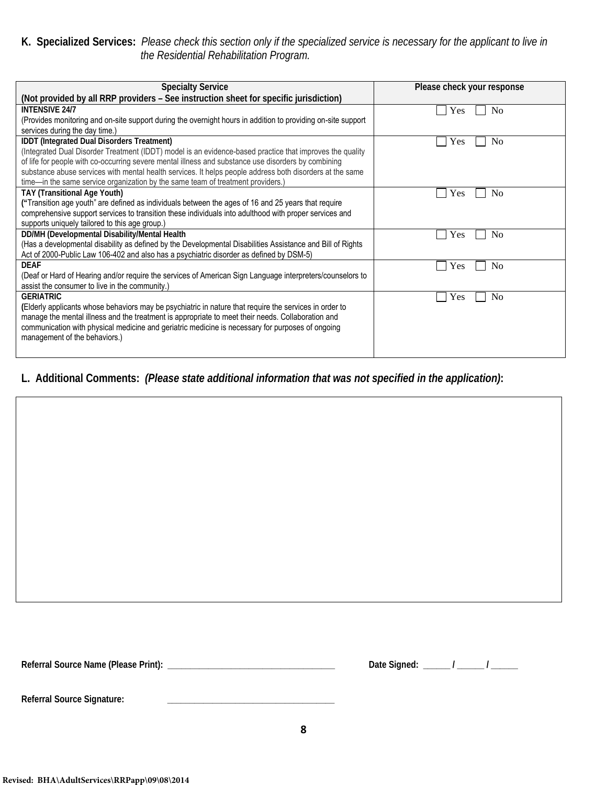#### **K. Specialized Services:** *Please check this section only if the specialized service is necessary for the applicant to live in the Residential Rehabilitation Program.*

| <b>Specialty Service</b>                                                                                     | Please check your response |
|--------------------------------------------------------------------------------------------------------------|----------------------------|
| (Not provided by all RRP providers - See instruction sheet for specific jurisdiction)                        |                            |
| <b>INTENSIVE 24/7</b>                                                                                        | Yes<br>No                  |
| (Provides monitoring and on-site support during the overnight hours in addition to providing on-site support |                            |
| services during the day time.)                                                                               |                            |
| IDDT (Integrated Dual Disorders Treatment)                                                                   | N <sub>0</sub><br>Yes      |
| (Integrated Dual Disorder Treatment (IDDT) model is an evidence-based practice that improves the quality     |                            |
| of life for people with co-occurring severe mental illness and substance use disorders by combining          |                            |
| substance abuse services with mental health services. It helps people address both disorders at the same     |                            |
| time-in the same service organization by the same team of treatment providers.)                              |                            |
| <b>TAY (Transitional Age Youth)</b>                                                                          | N <sub>0</sub><br>Yes      |
| ("Transition age youth" are defined as individuals between the ages of 16 and 25 years that require          |                            |
| comprehensive support services to transition these individuals into adulthood with proper services and       |                            |
| supports uniquely tailored to this age group.)                                                               |                            |
| DD/MH (Developmental Disability/Mental Health                                                                | N <sub>0</sub><br>Yes      |
| (Has a developmental disability as defined by the Developmental Disabilities Assistance and Bill of Rights   |                            |
| Act of 2000-Public Law 106-402 and also has a psychiatric disorder as defined by DSM-5)                      |                            |
| <b>DEAF</b>                                                                                                  | N <sub>0</sub><br>Yes      |
| (Deaf or Hard of Hearing and/or require the services of American Sign Language interpreters/counselors to    |                            |
| assist the consumer to live in the community.)                                                               |                            |
| <b>GERIATRIC</b>                                                                                             | Yes<br>N <sub>0</sub>      |
| (Elderly applicants whose behaviors may be psychiatric in nature that require the services in order to       |                            |
| manage the mental illness and the treatment is appropriate to meet their needs. Collaboration and            |                            |
| communication with physical medicine and geriatric medicine is necessary for purposes of ongoing             |                            |
| management of the behaviors.)                                                                                |                            |
|                                                                                                              |                            |

### **L. Additional Comments:** *(Please state additional information that was not specified in the application)***:**

**Referral Source Name (Please Print): \_\_\_\_\_\_\_\_\_\_\_\_\_\_\_\_\_\_\_\_\_\_\_\_\_\_\_\_\_\_\_\_\_\_\_\_\_ Date Signed: \_\_\_\_\_\_ / \_\_\_\_\_\_ / \_\_\_\_\_\_**

| Date Signed: |  |  |  |
|--------------|--|--|--|
|--------------|--|--|--|

**Referral Source Signature: \_\_\_\_\_\_\_\_\_\_\_\_\_\_\_\_\_\_\_\_\_\_\_\_\_\_\_\_\_\_\_\_\_\_\_\_\_**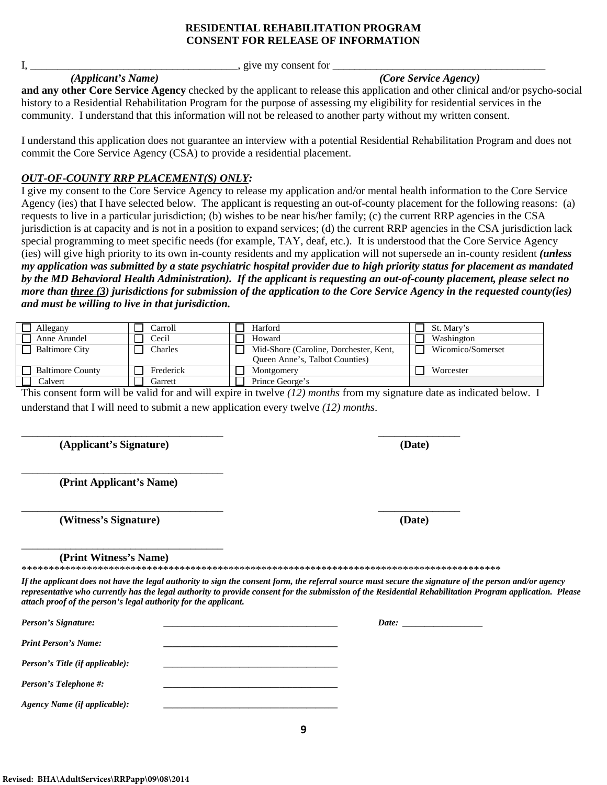#### **RESIDENTIAL REHABILITATION PROGRAM CONSENT FOR RELEASE OF INFORMATION**

 $I, \underline{\hspace{1cm}}$  give my consent for  $\underline{\hspace{1cm}}$ 

**and any other Core Service Agency** checked by the applicant to release this application and other clinical and/or psycho-social history to a Residential Rehabilitation Program for the purpose of assessing my eligibility for residential services in the community. I understand that this information will not be released to another party without my written consent.

I understand this application does not guarantee an interview with a potential Residential Rehabilitation Program and does not commit the Core Service Agency (CSA) to provide a residential placement.

#### *OUT-OF-COUNTY RRP PLACEMENT(S) ONLY:*

I give my consent to the Core Service Agency to release my application and/or mental health information to the Core Service Agency (ies) that I have selected below. The applicant is requesting an out-of-county placement for the following reasons: (a) requests to live in a particular jurisdiction; (b) wishes to be near his/her family; (c) the current RRP agencies in the CSA jurisdiction is at capacity and is not in a position to expand services; (d) the current RRP agencies in the CSA jurisdiction lack special programming to meet specific needs (for example, TAY, deaf, etc.). It is understood that the Core Service Agency (ies) will give high priority to its own in-county residents and my application will not supersede an in-county resident *(unless my application was submitted by a state psychiatric hospital provider due to high priority status for placement as mandated by the MD Behavioral Health Administration). If the applicant is requesting an out-of-county placement, please select no more than three (3) jurisdictions for submission of the application to the Core Service Agency in the requested county(ies) and must be willing to live in that jurisdiction.*  **Reviewed: Reviewed: Reviewed: Reviewed: Reviewed: Reviewed: Reviewed: Reviewed: Reviewed: Reviewed: Reviewed: Reviewed: Reviewed: Reviewed: Reviewed: Reviewed: Reviewed: Reviewed: Revi** 

| Allegany                | Carroll   | Harford                                | St. Mary's        |
|-------------------------|-----------|----------------------------------------|-------------------|
| Anne Arundel            | Cecil     | Howard                                 | Washington        |
| <b>Baltimore City</b>   | Charles   | Mid-Shore (Caroline, Dorchester, Kent, | Wicomico/Somerset |
|                         |           | Queen Anne's, Talbot Counties)         |                   |
| <b>Baltimore County</b> | Frederick | Montgomery                             | Worcester         |
| <b>Calvert</b>          | Garrett   | Prince George's                        |                   |

This consent form will be valid for and will expire in twelve *(12) months* from my signature date as indicated below. I understand that I will need to submit a new application every twelve *(12) months*.

\_\_\_\_\_\_\_\_\_\_\_\_\_\_\_\_\_\_\_\_\_\_\_\_\_\_\_\_\_\_\_\_\_\_\_\_\_ \_\_\_\_\_\_\_\_\_\_\_\_\_\_\_

**(Applicant's Signature) (Date)**

\_\_\_\_\_\_\_\_\_\_\_\_\_\_\_\_\_\_\_\_\_\_\_\_\_\_\_\_\_\_\_\_\_\_\_\_\_ **(Print Applicant's Name)**

**(Witness's Signature) (Date)**

**(Print Witness's Name)**

\_\_\_\_\_\_\_\_\_\_\_\_\_\_\_\_\_\_\_\_\_\_\_\_\_\_\_\_\_\_\_\_\_\_\_\_\_

\*\*\*\*\*\*\*\*\*\*\*\*\*\*\*\*\*\*\*\*\*\*\*\*\*\*\*\*\*\*\*\*\*\*\*\*\*\*\*\*\*\*\*\*\*\*\*\*\*\*\*\*\*\*\*\*\*\*\*\*\*\*\*\*\*\*\*\*\*\*\*\*\*\*\*\*\*\*\*\*\*\*\*\*\*\*\*\*

*If the applicant does not have the legal authority to sign the consent form, the referral source must secure the signature of the person and/or agency representative who currently has the legal authority to provide consent for the submission of the Residential Rehabilitation Program application. Please attach proof of the person's legal authority for the applicant.*

**9**

| Person's Signature:             | Date: |
|---------------------------------|-------|
| <b>Print Person's Name:</b>     |       |
| Person's Title (if applicable): |       |
| Person's Telephone #:           |       |
| Agency Name (if applicable):    |       |

\_\_\_\_\_\_\_\_\_\_\_\_\_\_\_\_\_\_\_\_\_\_\_\_\_\_\_\_\_\_\_\_\_\_\_\_\_ \_\_\_\_\_\_\_\_\_\_\_\_\_\_\_

*(Applicant's Name) (Core Service Agency)*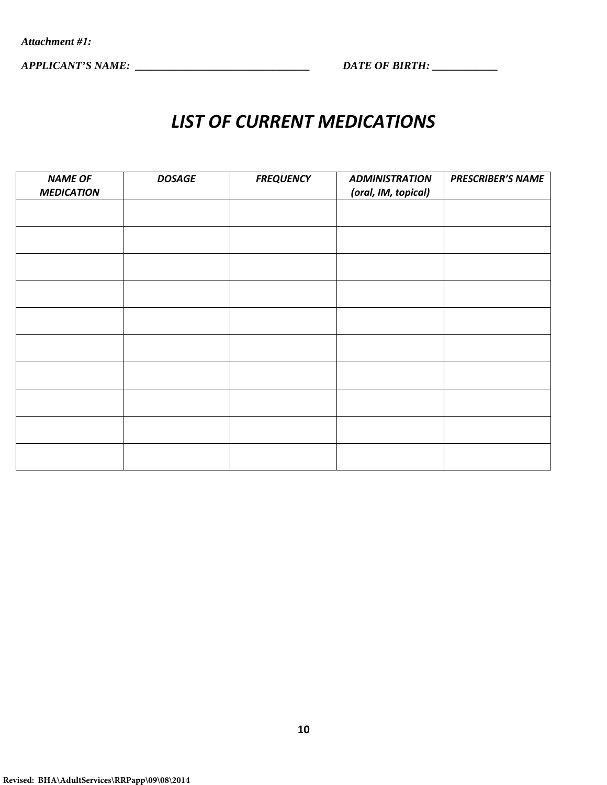*APPLICANT'S NAME: \_\_\_\_\_\_\_\_\_\_\_\_\_\_\_\_\_\_\_\_\_\_\_\_\_\_\_\_\_\_\_\_ DATE OF BIRTH: \_\_\_\_\_\_\_\_\_\_\_\_* 

# *LIST OF CURRENT MEDICATIONS*

| <b>NAME OF</b>    | <b>DOSAGE</b> | <b>FREQUENCY</b> | <b>ADMINISTRATION</b> | <b>PRESCRIBER'S NAME</b> |
|-------------------|---------------|------------------|-----------------------|--------------------------|
| <b>MEDICATION</b> |               |                  | (oral, IM, topical)   |                          |
|                   |               |                  |                       |                          |
|                   |               |                  |                       |                          |
|                   |               |                  |                       |                          |
|                   |               |                  |                       |                          |
|                   |               |                  |                       |                          |
|                   |               |                  |                       |                          |
|                   |               |                  |                       |                          |
|                   |               |                  |                       |                          |
|                   |               |                  |                       |                          |
|                   |               |                  |                       |                          |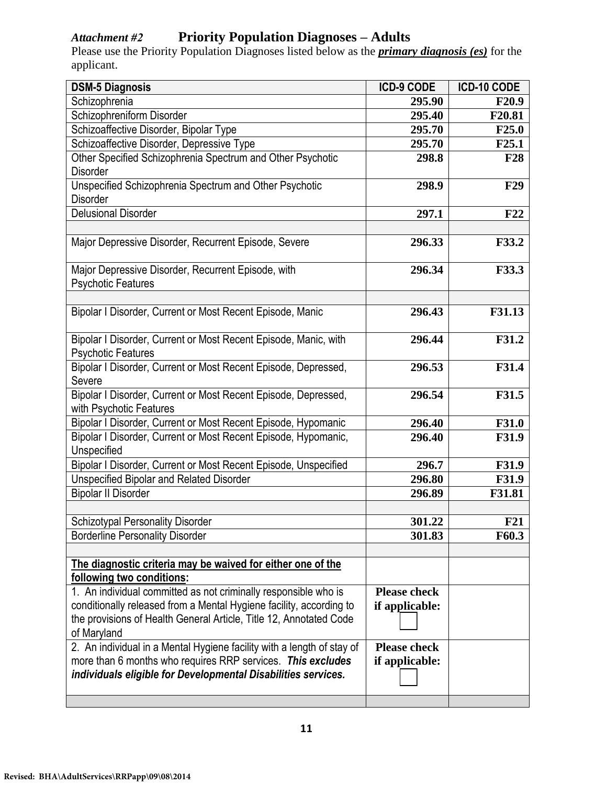# *Attachment #2* **Priority Population Diagnoses – Adults**

Please use the Priority Population Diagnoses listed below as the *primary diagnosis (es)* for the applicant.

| <b>DSM-5 Diagnosis</b>                                                                   | <b>ICD-9 CODE</b>   | ICD-10 CODE       |
|------------------------------------------------------------------------------------------|---------------------|-------------------|
| Schizophrenia                                                                            | 295.90              | <b>F20.9</b>      |
| Schizophreniform Disorder                                                                | 295.40              | F20.81            |
| Schizoaffective Disorder, Bipolar Type                                                   | 295.70              | F25.0             |
| Schizoaffective Disorder, Depressive Type                                                | 295.70              | F <sub>25.1</sub> |
| Other Specified Schizophrenia Spectrum and Other Psychotic                               | 298.8               | <b>F28</b>        |
| Disorder                                                                                 |                     |                   |
| Unspecified Schizophrenia Spectrum and Other Psychotic                                   | 298.9               | <b>F29</b>        |
| Disorder                                                                                 |                     |                   |
| <b>Delusional Disorder</b>                                                               | 297.1               | F22               |
|                                                                                          |                     |                   |
| Major Depressive Disorder, Recurrent Episode, Severe                                     | 296.33              | F33.2             |
|                                                                                          |                     |                   |
| Major Depressive Disorder, Recurrent Episode, with                                       | 296.34              | F33.3             |
| <b>Psychotic Features</b>                                                                |                     |                   |
|                                                                                          |                     |                   |
| Bipolar I Disorder, Current or Most Recent Episode, Manic                                | 296.43              | F31.13            |
|                                                                                          |                     |                   |
| Bipolar I Disorder, Current or Most Recent Episode, Manic, with                          | 296.44              | F31.2             |
| <b>Psychotic Features</b>                                                                |                     |                   |
| Bipolar I Disorder, Current or Most Recent Episode, Depressed,                           | 296.53              | F31.4             |
| Severe                                                                                   |                     |                   |
| Bipolar I Disorder, Current or Most Recent Episode, Depressed,                           | 296.54              | F31.5             |
| with Psychotic Features<br>Bipolar I Disorder, Current or Most Recent Episode, Hypomanic | 296.40              | <b>F31.0</b>      |
| Bipolar I Disorder, Current or Most Recent Episode, Hypomanic,                           | 296.40              | <b>F31.9</b>      |
| Unspecified                                                                              |                     |                   |
| Bipolar I Disorder, Current or Most Recent Episode, Unspecified                          | 296.7               | <b>F31.9</b>      |
| <b>Unspecified Bipolar and Related Disorder</b>                                          | 296.80              | <b>F31.9</b>      |
| <b>Bipolar II Disorder</b>                                                               | 296.89              | F31.81            |
|                                                                                          |                     |                   |
| <b>Schizotypal Personality Disorder</b>                                                  | 301.22              | F21               |
| <b>Borderline Personality Disorder</b>                                                   | 301.83              | F60.3             |
|                                                                                          |                     |                   |
| The diagnostic criteria may be waived for either one of the                              |                     |                   |
| following two conditions:                                                                |                     |                   |
| 1. An individual committed as not criminally responsible who is                          | <b>Please check</b> |                   |
| conditionally released from a Mental Hygiene facility, according to                      | if applicable:      |                   |
| the provisions of Health General Article, Title 12, Annotated Code                       |                     |                   |
| of Maryland                                                                              |                     |                   |
| 2. An individual in a Mental Hygiene facility with a length of stay of                   | <b>Please check</b> |                   |
| more than 6 months who requires RRP services. This excludes                              | if applicable:      |                   |
| individuals eligible for Developmental Disabilities services.                            |                     |                   |
|                                                                                          |                     |                   |
|                                                                                          |                     |                   |